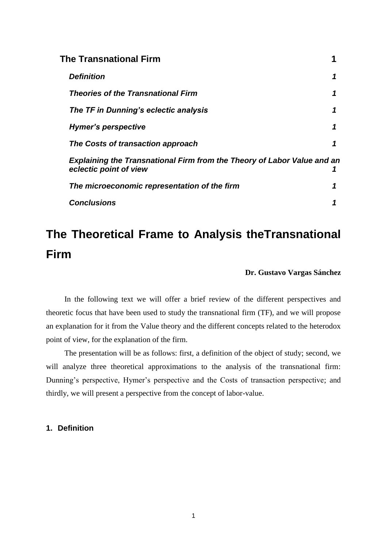| The Transnational Firm                                                                                   |   |
|----------------------------------------------------------------------------------------------------------|---|
| <b>Definition</b>                                                                                        | 1 |
| <b>Theories of the Transnational Firm</b>                                                                |   |
| The TF in Dunning's eclectic analysis                                                                    | 1 |
| Hymer's perspective                                                                                      | 1 |
| The Costs of transaction approach                                                                        | 1 |
| <b>Explaining the Transnational Firm from the Theory of Labor Value and an</b><br>eclectic point of view |   |
| The microeconomic representation of the firm                                                             |   |
| <b>Conclusions</b>                                                                                       |   |

# **The Theoretical Frame to Analysis theTransnational Firm**

## **Dr. Gustavo Vargas Sánchez**

In the following text we will offer a brief review of the different perspectives and theoretic focus that have been used to study the transnational firm (TF), and we will propose an explanation for it from the Value theory and the different concepts related to the heterodox point of view, for the explanation of the firm.

The presentation will be as follows: first, a definition of the object of study; second, we will analyze three theoretical approximations to the analysis of the transnational firm: Dunning's perspective, Hymer's perspective and the Costs of transaction perspective; and thirdly, we will present a perspective from the concept of labor-value.

# **1. Definition**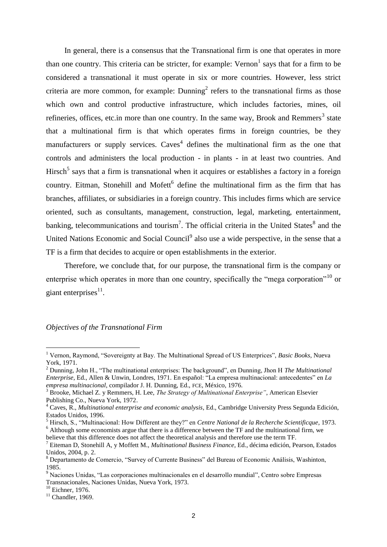In general, there is a consensus that the Transnational firm is one that operates in more than one country. This criteria can be stricter, for example:  $Vernon<sup>1</sup>$  says that for a firm to be considered a transnational it must operate in six or more countries. However, less strict criteria are more common, for example:  $Dunning<sup>2</sup>$  refers to the transnational firms as those which own and control productive infrastructure, which includes factories, mines, oil refineries, offices, etc.in more than one country. In the same way, Brook and Remmers<sup>3</sup> state that a multinational firm is that which operates firms in foreign countries, be they manufacturers or supply services. Caves<sup>4</sup> defines the multinational firm as the one that controls and administers the local production - in plants - in at least two countries. And Hirsch<sup>5</sup> says that a firm is transnational when it acquires or establishes a factory in a foreign country. Eitman, Stonehill and Mofett<sup>6</sup> define the multinational firm as the firm that has branches, affiliates, or subsidiaries in a foreign country. This includes firms which are service oriented, such as consultants, management, construction, legal, marketing, entertainment, banking, telecommunications and tourism<sup>7</sup>. The official criteria in the United States<sup>8</sup> and the United Nations Economic and Social Council<sup>9</sup> also use a wide perspective, in the sense that a TF is a firm that decides to acquire or open establishments in the exterior.

Therefore, we conclude that, for our purpose, the transnational firm is the company or enterprise which operates in more than one country, specifically the "mega corporation"<sup>10</sup> or giant enterprises $^{11}$ .

#### *Objectives of the Transnational Firm*

<sup>1</sup> Vernon, Raymond, "Sovereignty at Bay. The Multinational Spread of US Enterprices", *Basic Books*, Nueva York, 1971.

<sup>2</sup> Dunning, John H., "The multinational enterprises: The background", en Dunning, Jhon H *The Multinational Enterprise*, Ed., Allen & Unwin, Londres, 1971. En español: "La empresa multinacional: antecedentes" en *La empresa multinacional*, compilador J. H. Dunning, Ed., FCE, México, 1976.

<sup>3</sup> Brooke, Michael Z. y Remmers, H. Lee, *The Strategy of Multinational Enterprise"*, American Elsevier Publishing Co., Nueva York, 1972.

<sup>4</sup> Caves, R., *Multinational enterprise and economic analysis*, Ed., Cambridge University Press Segunda Edición, Estados Unidos, 1996.

<sup>5</sup> Hirsch, S., "Multinacional: How Different are they?" en *Centre National de la Recherche Scientificque*, 1973. <sup>6</sup> Although some economists argue that there is a difference between the TF and the multinational firm, we

believe that this difference does not affect the theoretical analysis and therefore use the term TF.

<sup>7</sup> Eiteman D, Stonehill A, y Moffett M., *Multinational Business Finance*, Ed., décima edición, Pearson, Estados Unidos, 2004, p. 2.

<sup>8</sup> Departamento de Comercio, "Survey of Currente Business" del Bureau of Economic Análisis, Washinton, 1985.

<sup>9</sup> Naciones Unidas, "Las corporaciones multinacionales en el desarrollo mundial", Centro sobre Empresas Transnacionales, Naciones Unidas, Nueva York, 1973.

<sup>&</sup>lt;sup>10</sup> Eichner, 1976.

 $11$  Chandler, 1969.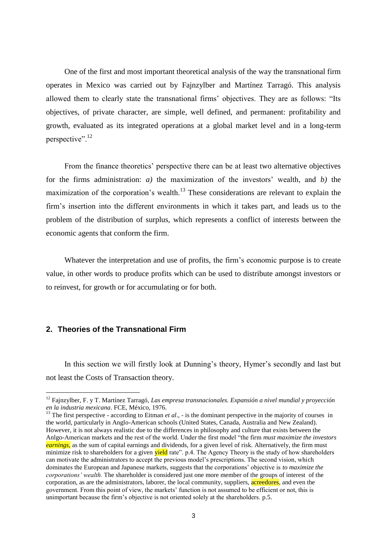One of the first and most important theoretical analysis of the way the transnational firm operates in Mexico was carried out by Fajnzylber and Martínez Tarragó. This analysis allowed them to clearly state the transnational firms' objectives. They are as follows: "Its objectives, of private character, are simple, well defined, and permanent: profitability and growth, evaluated as its integrated operations at a global market level and in a long-term perspective".<sup>12</sup>

From the finance theoretics' perspective there can be at least two alternative objectives for the firms administration:  $a$ ) the maximization of the investors' wealth, and  $b$ ) the maximization of the corporation's wealth.<sup>13</sup> These considerations are relevant to explain the firm"s insertion into the different environments in which it takes part, and leads us to the problem of the distribution of surplus, which represents a conflict of interests between the economic agents that conform the firm.

Whatever the interpretation and use of profits, the firm's economic purpose is to create value, in other words to produce profits which can be used to distribute amongst investors or to reinvest, for growth or for accumulating or for both.

# **2. Theories of the Transnational Firm**

 $\overline{a}$ 

In this section we will firstly look at Dunning's theory, Hymer's secondly and last but not least the Costs of Transaction theory.

<sup>12</sup> Fajnzylber, F. y T. Martínez Tarragó, *Las empresa transnacionales. Expansión a nivel mundial y proyección en la industria mexicana*. FCE, México, 1976.

<sup>&</sup>lt;sup>13</sup> The first perspective - according to Eitman *et al.*, - is the dominant perspective in the majority of courses in the world, particularly in Anglo-American schools (United States, Canada, Australia and New Zealand). However, it is not always realistic due to the differences in philosophy and culture that exists between the Anlgo-American markets and the rest of the world. Under the first model "the firm *must maximize the investors earnings,* as the sum of capital earnings and dividends, for a given level of risk. Alternatively, the firm must minimize risk to shareholders for a given yield rate". p.4. The Agency Theory is the study of how shareholders can motivate the administrators to accept the previous model's prescriptions. The second vision, which dominates the European and Japanese markets, suggests that the corporations" objective is *to maximize the corporations' wealth.* The shareholder is considered just one more member of the groups of interest of the corporation, as are the administrators, laborer, the local community, suppliers, acreedores, and even the government. From this point of view, the markets' function is not assumed to be efficient or not, this is unimportant because the firm"s objective is not oriented solely at the shareholders. p.5.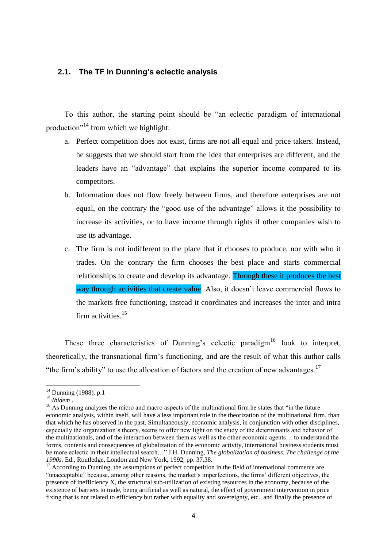# **2.1. The TF in Dunning's eclectic analysis**

To this author, the starting point should be "an eclectic paradigm of international production"<sup>14</sup> from which we highlight:

- a. Perfect competition does not exist, firms are not all equal and price takers. Instead, he suggests that we should start from the idea that enterprises are different, and the leaders have an "advantage" that explains the superior income compared to its competitors.
- b. Information does not flow freely between firms, and therefore enterprises are not equal, on the contrary the "good use of the advantage" allows it the possibility to increase its activities, or to have income through rights if other companies wish to use its advantage.
- c. The firm is not indifferent to the place that it chooses to produce, nor with who it trades. On the contrary the firm chooses the best place and starts commercial relationships to create and develop its advantage. Through these it produces the best way through activities that create value. Also, it doesn't leave commercial flows to the markets free functioning, instead it coordinates and increases the inter and intra firm activities.<sup>15</sup>

These three characteristics of Dunning's eclectic paradigm<sup>16</sup> look to interpret, theoretically, the transnational firm"s functioning, and are the result of what this author calls "the firm's ability" to use the allocation of factors and the creation of new advantages.<sup>17</sup>

<sup>&</sup>lt;sup>14</sup> Dunning (1988). p.1

<sup>15</sup> *Ibidem* .

<sup>&</sup>lt;sup>16</sup> As Dunning analyzes the micro and macro aspects of the multinational firm he states that "in the future" economic analysis, within itself, will have a less important role in the theorization of the multinational firm, than that which he has observed in the past. Simultaneously, economic analysis, in conjunction with other disciplines, especially the organization's theory, seems to offer new light on the study of the determinants and behavior of the multinationals, and of the interaction between them as well as the other economic agents… to understand the forms, contents and consequences of globalization of the economic activity, international business students must be more eclectic in their intellectual search…" J.H. Dunning, *The globalization of business. The challenge of the 1990s.* Ed., Routledge, London and New York, 1992, pp. 37,38.

<sup>&</sup>lt;sup>17</sup> According to Dunning, the assumptions of perfect competition in the field of international commerce are "unacceptable" because, among other reasons, the market's imperfections, the firms' different objectives, the presence of inefficiency X, the structural sub-utilization of existing resources in the economy, because of the existence of barriers to trade, being artificial as well as natural, the effect of government intervention in price fixing that is not related to efficiency but rather with equality and sovereignty, etc., and finally the presence of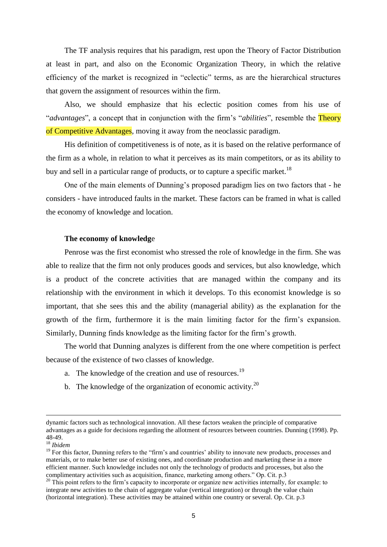The TF analysis requires that his paradigm, rest upon the Theory of Factor Distribution at least in part, and also on the Economic Organization Theory, in which the relative efficiency of the market is recognized in "eclectic" terms, as are the hierarchical structures that govern the assignment of resources within the firm.

Also, we should emphasize that his eclectic position comes from his use of "*advantages*", a concept that in conjunction with the firm"s "*abilities*", resemble the Theory of Competitive Advantages, moving it away from the neoclassic paradigm.

His definition of competitiveness is of note, as it is based on the relative performance of the firm as a whole, in relation to what it perceives as its main competitors, or as its ability to buy and sell in a particular range of products, or to capture a specific market.<sup>18</sup>

One of the main elements of Dunning"s proposed paradigm lies on two factors that - he considers - have introduced faults in the market. These factors can be framed in what is called the economy of knowledge and location.

#### **The economy of knowledg**e

Penrose was the first economist who stressed the role of knowledge in the firm. She was able to realize that the firm not only produces goods and services, but also knowledge, which is a product of the concrete activities that are managed within the company and its relationship with the environment in which it develops. To this economist knowledge is so important, that she sees this and the ability (managerial ability) as the explanation for the growth of the firm, furthermore it is the main limiting factor for the firm"s expansion. Similarly, Dunning finds knowledge as the limiting factor for the firm"s growth.

The world that Dunning analyzes is different from the one where competition is perfect because of the existence of two classes of knowledge.

- a. The knowledge of the creation and use of resources.<sup>19</sup>
- b. The knowledge of the organization of economic activity.<sup>20</sup>

<u>.</u>

dynamic factors such as technological innovation. All these factors weaken the principle of comparative advantages as a guide for decisions regarding the allotment of resources between countries. Dunning (1998). Pp. 48-49.

<sup>18</sup> *Ibidem*

<sup>&</sup>lt;sup>19</sup> For this factor, Dunning refers to the "firm's and countries' ability to innovate new products, processes and materials, or to make better use of existing ones, and coordinate production and marketing these in a more efficient manner. Such knowledge includes not only the technology of products and processes, but also the complimentary activities such as acquisition, finance, marketing among others." Op. Cit. p.3

<sup>&</sup>lt;sup>20</sup> This point refers to the firm's capacity to incorporate or organize new activities internally, for example: to integrate new activities to the chain of aggregate value (vertical integration) or through the value chain (horizontal integration). These activities may be attained within one country or several. Op. Cit. p.3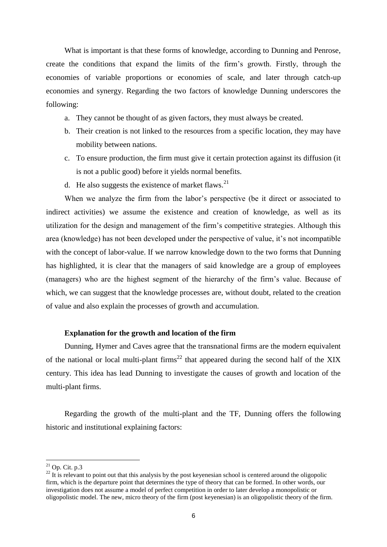What is important is that these forms of knowledge, according to Dunning and Penrose, create the conditions that expand the limits of the firm"s growth. Firstly, through the economies of variable proportions or economies of scale, and later through catch-up economies and synergy. Regarding the two factors of knowledge Dunning underscores the following:

- a. They cannot be thought of as given factors, they must always be created.
- b. Their creation is not linked to the resources from a specific location, they may have mobility between nations.
- c. To ensure production, the firm must give it certain protection against its diffusion (it is not a public good) before it yields normal benefits.
- d. He also suggests the existence of market flaws. $21$

When we analyze the firm from the labor's perspective (be it direct or associated to indirect activities) we assume the existence and creation of knowledge, as well as its utilization for the design and management of the firm"s competitive strategies. Although this area (knowledge) has not been developed under the perspective of value, it's not incompatible with the concept of labor-value. If we narrow knowledge down to the two forms that Dunning has highlighted, it is clear that the managers of said knowledge are a group of employees (managers) who are the highest segment of the hierarchy of the firm"s value. Because of which, we can suggest that the knowledge processes are, without doubt, related to the creation of value and also explain the processes of growth and accumulation.

# **Explanation for the growth and location of the firm**

Dunning, Hymer and Caves agree that the transnational firms are the modern equivalent of the national or local multi-plant firms<sup>22</sup> that appeared during the second half of the XIX century. This idea has lead Dunning to investigate the causes of growth and location of the multi-plant firms.

Regarding the growth of the multi-plant and the TF, Dunning offers the following historic and institutional explaining factors:

 $^{21}$  Op. Cit. p.3

 $22$  It is relevant to point out that this analysis by the post keyenesian school is centered around the oligopolic firm, which is the departure point that determines the type of theory that can be formed. In other words, our investigation does not assume a model of perfect competition in order to later develop a monopolistic or oligopolistic model. The new, micro theory of the firm (post keyenesian) is an oligopolistic theory of the firm.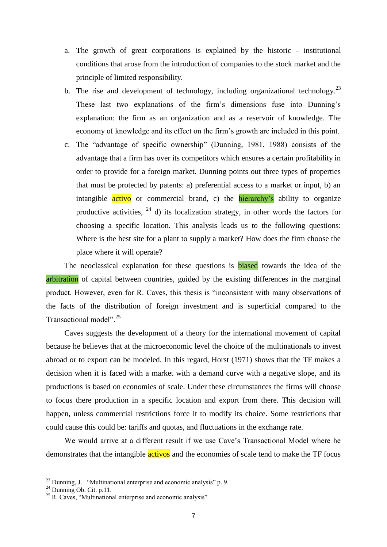- a. The growth of great corporations is explained by the historic institutional conditions that arose from the introduction of companies to the stock market and the principle of limited responsibility.
- b. The rise and development of technology, including organizational technology.<sup>23</sup> These last two explanations of the firm's dimensions fuse into Dunning's explanation: the firm as an organization and as a reservoir of knowledge. The economy of knowledge and its effect on the firm"s growth are included in this point.
- c. The "advantage of specific ownership" (Dunning, 1981, 1988) consists of the advantage that a firm has over its competitors which ensures a certain profitability in order to provide for a foreign market. Dunning points out three types of properties that must be protected by patents: a) preferential access to a market or input, b) an intangible **active** or commercial brand, c) the hierarchy's ability to organize productive activities,  $^{24}$  d) its localization strategy, in other words the factors for choosing a specific location. This analysis leads us to the following questions: Where is the best site for a plant to supply a market? How does the firm choose the place where it will operate?

The neoclassical explanation for these questions is **biased** towards the idea of the arbitration of capital between countries, guided by the existing differences in the marginal product. However, even for R. Caves, this thesis is "inconsistent with many observations of the facts of the distribution of foreign investment and is superficial compared to the Transactional model".<sup>25</sup>

Caves suggests the development of a theory for the international movement of capital because he believes that at the microeconomic level the choice of the multinationals to invest abroad or to export can be modeled. In this regard, Horst (1971) shows that the TF makes a decision when it is faced with a market with a demand curve with a negative slope, and its productions is based on economies of scale. Under these circumstances the firms will choose to focus there production in a specific location and export from there. This decision will happen, unless commercial restrictions force it to modify its choice. Some restrictions that could cause this could be: tariffs and quotas, and fluctuations in the exchange rate.

We would arrive at a different result if we use Cave"s Transactional Model where he demonstrates that the intangible **activos** and the economies of scale tend to make the TF focus

 $^{23}$  Dunning, J. "Multinational enterprise and economic analysis" p. 9.

 $24$  Dunning Ob. Cit. p.11.

 $25$  R. Caves, "Multinational enterprise and economic analysis"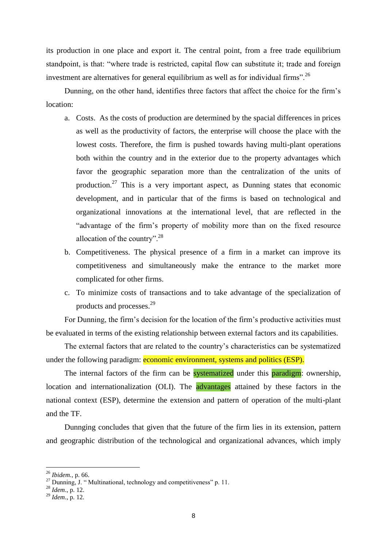its production in one place and export it. The central point, from a free trade equilibrium standpoint, is that: "where trade is restricted, capital flow can substitute it; trade and foreign investment are alternatives for general equilibrium as well as for individual firms".<sup>26</sup>

Dunning, on the other hand, identifies three factors that affect the choice for the firm"s location:

- a. Costs. As the costs of production are determined by the spacial differences in prices as well as the productivity of factors, the enterprise will choose the place with the lowest costs. Therefore, the firm is pushed towards having multi-plant operations both within the country and in the exterior due to the property advantages which favor the geographic separation more than the centralization of the units of production.<sup>27</sup> This is a very important aspect, as Dunning states that economic development, and in particular that of the firms is based on technological and organizational innovations at the international level, that are reflected in the "advantage of the firm"s property of mobility more than on the fixed resource allocation of the country". $^{28}$
- b. Competitiveness. The physical presence of a firm in a market can improve its competitiveness and simultaneously make the entrance to the market more complicated for other firms.
- c. To minimize costs of transactions and to take advantage of the specialization of products and processes.<sup>29</sup>

For Dunning, the firm"s decision for the location of the firm"s productive activities must be evaluated in terms of the existing relationship between external factors and its capabilities.

The external factors that are related to the country"s characteristics can be systematized under the following paradigm: economic environment, systems and politics (ESP).

The internal factors of the firm can be **systematized** under this **paradigm**: ownership, location and internationalization (OLI). The advantages attained by these factors in the national context (ESP), determine the extension and pattern of operation of the multi-plant and the TF.

Dunnging concludes that given that the future of the firm lies in its extension, pattern and geographic distribution of the technological and organizational advances, which imply

<sup>26</sup> *Ibidem.,* p. 66.

<sup>&</sup>lt;sup>27</sup> Dunning, J. " Multinational, technology and competitiveness" p. 11.

<sup>28</sup> *Idem*., p. 12.

<sup>29</sup> *Idem*., p. 12.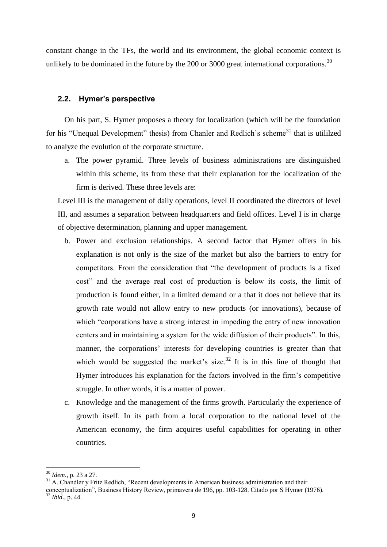constant change in the TFs, the world and its environment, the global economic context is unlikely to be dominated in the future by the  $200$  or  $3000$  great international corporations.<sup>30</sup>

# **2.2. Hymer's perspective**

On his part, S. Hymer proposes a theory for localization (which will be the foundation for his "Unequal Development" thesis) from Chanler and Redlich's scheme<sup>31</sup> that is utililzed to analyze the evolution of the corporate structure.

a. The power pyramid. Three levels of business administrations are distinguished within this scheme, its from these that their explanation for the localization of the firm is derived. These three levels are:

Level III is the management of daily operations, level II coordinated the directors of level III, and assumes a separation between headquarters and field offices. Level I is in charge of objective determination, planning and upper management.

- b. Power and exclusion relationships. A second factor that Hymer offers in his explanation is not only is the size of the market but also the barriers to entry for competitors. From the consideration that "the development of products is a fixed cost" and the average real cost of production is below its costs, the limit of production is found either, in a limited demand or a that it does not believe that its growth rate would not allow entry to new products (or innovations), because of which "corporations have a strong interest in impeding the entry of new innovation centers and in maintaining a system for the wide diffusion of their products". In this, manner, the corporations' interests for developing countries is greater than that which would be suggested the market's size.<sup>32</sup> It is in this line of thought that Hymer introduces his explanation for the factors involved in the firm"s competitive struggle. In other words, it is a matter of power.
- c. Knowledge and the management of the firms growth. Particularly the experience of growth itself. In its path from a local corporation to the national level of the American economy, the firm acquires useful capabilities for operating in other countries.

<sup>30</sup> *Idem*., p. 23 a 27.

<sup>&</sup>lt;sup>31</sup> A. Chandler y Fritz Redlich, "Recent developments in American business administration and their

conceptualization", Business History Review, primavera de 196, pp. 103-128. Citado por S Hymer (1976). <sup>32</sup> *Ibid*.*,* p. 44.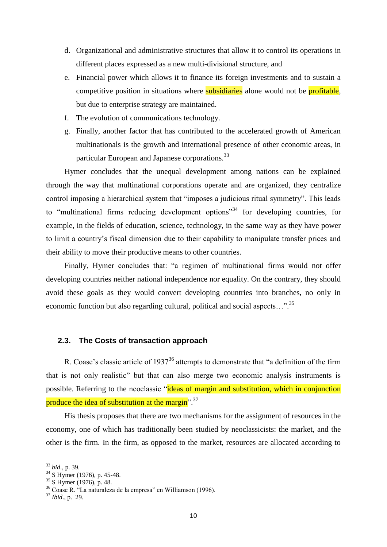- d. Organizational and administrative structures that allow it to control its operations in different places expressed as a new multi-divisional structure, and
- e. Financial power which allows it to finance its foreign investments and to sustain a competitive position in situations where **subsidiaries** alone would not be **profitable**, but due to enterprise strategy are maintained.
- f. The evolution of communications technology.
- g. Finally, another factor that has contributed to the accelerated growth of American multinationals is the growth and international presence of other economic areas, in particular European and Japanese corporations.<sup>33</sup>

Hymer concludes that the unequal development among nations can be explained through the way that multinational corporations operate and are organized, they centralize control imposing a hierarchical system that "imposes a judicious ritual symmetry". This leads to "multinational firms reducing development options"<sup>34</sup> for developing countries, for example, in the fields of education, science, technology, in the same way as they have power to limit a country"s fiscal dimension due to their capability to manipulate transfer prices and their ability to move their productive means to other countries.

Finally, Hymer concludes that: "a regimen of multinational firms would not offer developing countries neither national independence nor equality. On the contrary, they should avoid these goals as they would convert developing countries into branches, no only in economic function but also regarding cultural, political and social aspects...".<sup>35</sup>

#### **2.3. The Costs of transaction approach**

R. Coase's classic article of  $1937^{36}$  attempts to demonstrate that "a definition of the firm that is not only realistic" but that can also merge two economic analysis instruments is possible. Referring to the neoclassic "ideas of margin and substitution, which in conjunction produce the idea of substitution at the margin<sup>".37</sup>

His thesis proposes that there are two mechanisms for the assignment of resources in the economy, one of which has traditionally been studied by neoclassicists: the market, and the other is the firm. In the firm, as opposed to the market, resources are allocated according to

<sup>33</sup> *bid*.*,* p. 39.

 $34^{34}$  S Hymer (1976), p. 45-48.

 $35$  S Hymer (1976), p. 48.

<sup>36</sup> Coase R. "La naturaleza de la empresa" en Williamson (1996).

<sup>37</sup> *Ibid*., p. 29.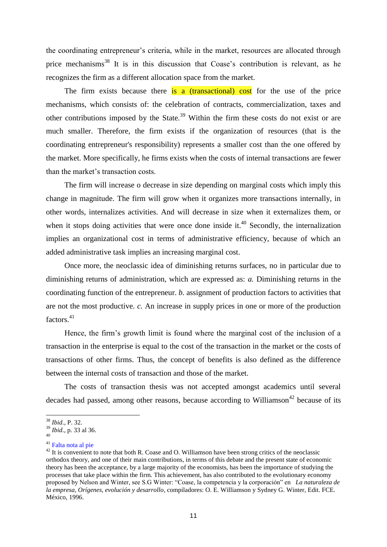the coordinating entrepreneur's criteria, while in the market, resources are allocated through price mechanisms<sup>38</sup> It is in this discussion that Coase's contribution is relevant, as he recognizes the firm as a different allocation space from the market.

The firm exists because there is a *(transactional)* cost for the use of the price mechanisms, which consists of: the celebration of contracts, commercialization, taxes and other contributions imposed by the State.<sup>39</sup> Within the firm these costs do not exist or are much smaller. Therefore, the firm exists if the organization of resources (that is the coordinating entrepreneur's responsibility) represents a smaller cost than the one offered by the market. More specifically, he firms exists when the costs of internal transactions are fewer than the market"s transaction costs.

The firm will increase o decrease in size depending on marginal costs which imply this change in magnitude. The firm will grow when it organizes more transactions internally, in other words, internalizes activities. And will decrease in size when it externalizes them, or when it stops doing activities that were once done inside it.<sup>40</sup> Secondly, the internalization implies an organizational cost in terms of administrative efficiency, because of which an added administrative task implies an increasing marginal cost.

Once more, the neoclassic idea of diminishing returns surfaces, no in particular due to diminishing returns of administration, which are expressed as: *a.* Diminishing returns in the coordinating function of the entrepreneur. *b.* assignment of production factors to activities that are not the most productive. *c.* An increase in supply prices in one or more of the production factors.<sup>41</sup>

Hence, the firm"s growth limit is found where the marginal cost of the inclusion of a transaction in the enterprise is equal to the cost of the transaction in the market or the costs of transactions of other firms. Thus, the concept of benefits is also defined as the difference between the internal costs of transaction and those of the market.

The costs of transaction thesis was not accepted amongst academics until several decades had passed, among other reasons, because according to Williamson<sup>42</sup> because of its

<sup>38</sup> *Ibid*., P. 32.

<sup>39</sup> *Ibid*., p. 33 al 36. 40

<sup>41</sup> Falta nota al pie

 $42$  It is convenient to note that both R. Coase and O. Williamson have been strong critics of the neoclassic orthodox theory, and one of their main contributions, in terms of this debate and the present state of economic theory has been the acceptance, by a large majority of the economists, has been the importance of studying the processes that take place within the firm. This achievement, has also contributed to the evolutionary economy proposed by Nelson and Winter, see S.G Winter: "Coase, la competencia y la corporación" en *La naturaleza de la empresa, Orígenes, evolución y desarrollo*, compiladores: O. E. Williamson y Sydney G. Winter, Edit. FCE. México, 1996.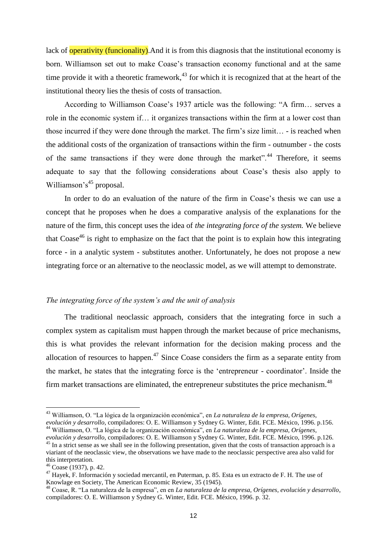lack of **operativity (funcionality)**. And it is from this diagnosis that the institutional economy is born. Williamson set out to make Coase"s transaction economy functional and at the same time provide it with a theoretic framework, $43$  for which it is recognized that at the heart of the institutional theory lies the thesis of costs of transaction.

According to Williamson Coase's 1937 article was the following: "A firm... serves a role in the economic system if… it organizes transactions within the firm at a lower cost than those incurred if they were done through the market. The firm's size limit... - is reached when the additional costs of the organization of transactions within the firm - outnumber - the costs of the same transactions if they were done through the market".<sup>44</sup> Therefore, it seems adequate to say that the following considerations about Coase"s thesis also apply to Williamson's<sup>45</sup> proposal.

In order to do an evaluation of the nature of the firm in Coase's thesis we can use a concept that he proposes when he does a comparative analysis of the explanations for the nature of the firm, this concept uses the idea of *the integrating force of the system.* We believe that Coase<sup>46</sup> is right to emphasize on the fact that the point is to explain how this integrating force - in a analytic system - substitutes another. Unfortunately, he does not propose a new integrating force or an alternative to the neoclassic model, as we will attempt to demonstrate.

#### *The integrating force of the system's and the unit of analysis*

The traditional neoclassic approach, considers that the integrating force in such a complex system as capitalism must happen through the market because of price mechanisms, this is what provides the relevant information for the decision making process and the allocation of resources to happen.<sup>47</sup> Since Coase considers the firm as a separate entity from the market, he states that the integrating force is the "entrepreneur - coordinator". Inside the firm market transactions are eliminated, the entrepreneur substitutes the price mechanism.<sup>48</sup>

<sup>43</sup> Williamson, O. "La lógica de la organización económica", en *La naturaleza de la empresa, Orígenes, evolución y desarrollo*, compiladores: O. E. Williamson y Sydney G. Winter, Edit. FCE. México, 1996. p.156.

<sup>44</sup> Williamson, O. "La lógica de la organización económica", en *La naturaleza de la empresa, Orígenes, evolución y desarrollo*, compiladores: O. E. Williamson y Sydney G. Winter, Edit. FCE. México, 1996. p.126.

<sup>&</sup>lt;sup>45</sup> In a strict sense as we shall see in the following presentation, given that the costs of transaction approach is a viariant of the neoclassic view, the observations we have made to the neoclassic perspective area also valid for this interpretation.

<sup>46</sup> Coase (1937), p. 42.

<sup>47</sup> Hayek, F. Información y sociedad mercantil, en Puterman, p. 85. Esta es un extracto de F. H. The use of Knowlage en Society, The American Economic Review, 35 (1945).

<sup>48</sup> Coase, R. "La naturaleza de la empresa", en en *La naturaleza de la empresa, Orígenes, evolución y desarrollo*, compiladores: O. E. Williamson y Sydney G. Winter, Edit. FCE. México, 1996. p. 32.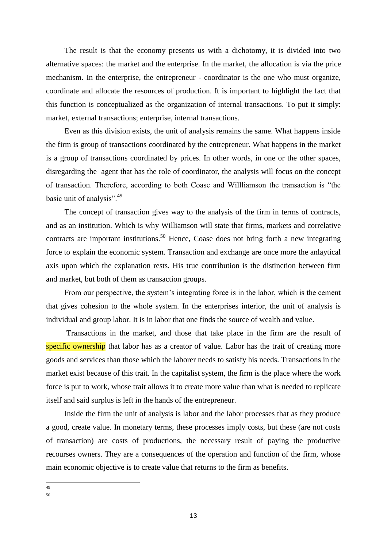The result is that the economy presents us with a dichotomy, it is divided into two alternative spaces: the market and the enterprise. In the market, the allocation is via the price mechanism. In the enterprise, the entrepreneur - coordinator is the one who must organize, coordinate and allocate the resources of production. It is important to highlight the fact that this function is conceptualized as the organization of internal transactions. To put it simply: market, external transactions; enterprise, internal transactions.

Even as this division exists, the unit of analysis remains the same. What happens inside the firm is group of transactions coordinated by the entrepreneur. What happens in the market is a group of transactions coordinated by prices. In other words, in one or the other spaces, disregarding the agent that has the role of coordinator, the analysis will focus on the concept of transaction. Therefore, according to both Coase and Willliamson the transaction is "the basic unit of analysis".<sup>49</sup>

The concept of transaction gives way to the analysis of the firm in terms of contracts, and as an institution. Which is why Williamson will state that firms, markets and correlative contracts are important institutions.<sup>50</sup> Hence, Coase does not bring forth a new integrating force to explain the economic system. Transaction and exchange are once more the anlaytical axis upon which the explanation rests. His true contribution is the distinction between firm and market, but both of them as transaction groups.

From our perspective, the system's integrating force is in the labor, which is the cement that gives cohesion to the whole system. In the enterprises interior, the unit of analysis is individual and group labor. It is in labor that one finds the source of wealth and value.

Transactions in the market, and those that take place in the firm are the result of specific ownership that labor has as a creator of value. Labor has the trait of creating more goods and services than those which the laborer needs to satisfy his needs. Transactions in the market exist because of this trait. In the capitalist system, the firm is the place where the work force is put to work, whose trait allows it to create more value than what is needed to replicate itself and said surplus is left in the hands of the entrepreneur.

Inside the firm the unit of analysis is labor and the labor processes that as they produce a good, create value. In monetary terms, these processes imply costs, but these (are not costs of transaction) are costs of productions, the necessary result of paying the productive recourses owners. They are a consequences of the operation and function of the firm, whose main economic objective is to create value that returns to the firm as benefits.

 $\frac{1}{49}$ 

<sup>50</sup>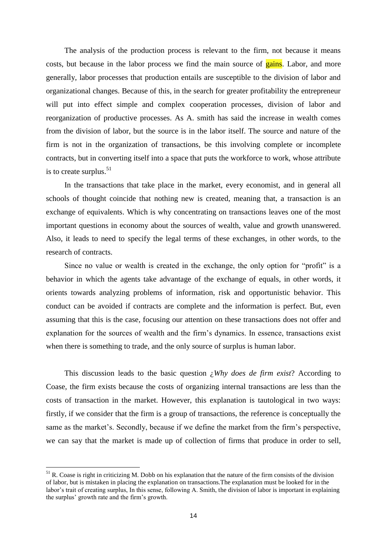The analysis of the production process is relevant to the firm, not because it means costs, but because in the labor process we find the main source of **gains**. Labor, and more generally, labor processes that production entails are susceptible to the division of labor and organizational changes. Because of this, in the search for greater profitability the entrepreneur will put into effect simple and complex cooperation processes, division of labor and reorganization of productive processes. As A. smith has said the increase in wealth comes from the division of labor, but the source is in the labor itself. The source and nature of the firm is not in the organization of transactions, be this involving complete or incomplete contracts, but in converting itself into a space that puts the workforce to work, whose attribute is to create surplus.<sup>51</sup>

In the transactions that take place in the market, every economist, and in general all schools of thought coincide that nothing new is created, meaning that, a transaction is an exchange of equivalents. Which is why concentrating on transactions leaves one of the most important questions in economy about the sources of wealth, value and growth unanswered. Also, it leads to need to specify the legal terms of these exchanges, in other words, to the research of contracts.

Since no value or wealth is created in the exchange, the only option for "profit" is a behavior in which the agents take advantage of the exchange of equals, in other words, it orients towards analyzing problems of information, risk and opportunistic behavior. This conduct can be avoided if contracts are complete and the information is perfect. But, even assuming that this is the case, focusing our attention on these transactions does not offer and explanation for the sources of wealth and the firm"s dynamics. In essence, transactions exist when there is something to trade, and the only source of surplus is human labor.

This discussion leads to the basic question ¿*Why does de firm exist*? According to Coase, the firm exists because the costs of organizing internal transactions are less than the costs of transaction in the market. However, this explanation is tautological in two ways: firstly, if we consider that the firm is a group of transactions, the reference is conceptually the same as the market's. Secondly, because if we define the market from the firm's perspective, we can say that the market is made up of collection of firms that produce in order to sell,

 $<sup>51</sup>$  R. Coase is right in criticizing M. Dobb on his explanation that the nature of the firm consists of the division</sup> of labor, but is mistaken in placing the explanation on transactions.The explanation must be looked for in the labor"s trait of creating surplus, In this sense, following A. Smith, the division of labor is important in explaining the surplus' growth rate and the firm's growth.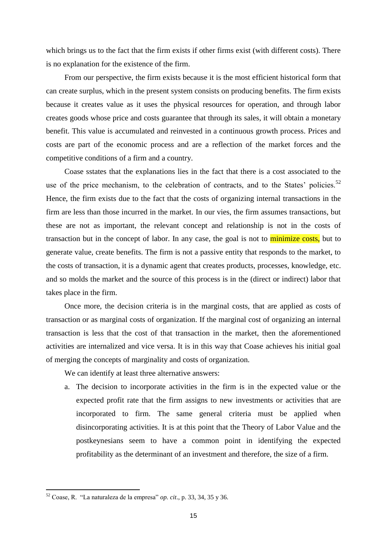which brings us to the fact that the firm exists if other firms exist (with different costs). There is no explanation for the existence of the firm.

From our perspective, the firm exists because it is the most efficient historical form that can create surplus, which in the present system consists on producing benefits. The firm exists because it creates value as it uses the physical resources for operation, and through labor creates goods whose price and costs guarantee that through its sales, it will obtain a monetary benefit. This value is accumulated and reinvested in a continuous growth process. Prices and costs are part of the economic process and are a reflection of the market forces and the competitive conditions of a firm and a country.

Coase sstates that the explanations lies in the fact that there is a cost associated to the use of the price mechanism, to the celebration of contracts, and to the States' policies.<sup>52</sup> Hence, the firm exists due to the fact that the costs of organizing internal transactions in the firm are less than those incurred in the market. In our vies, the firm assumes transactions, but these are not as important, the relevant concept and relationship is not in the costs of transaction but in the concept of labor. In any case, the goal is not to **minimize costs**, but to generate value, create benefits. The firm is not a passive entity that responds to the market, to the costs of transaction, it is a dynamic agent that creates products, processes, knowledge, etc. and so molds the market and the source of this process is in the (direct or indirect) labor that takes place in the firm.

Once more, the decision criteria is in the marginal costs, that are applied as costs of transaction or as marginal costs of organization. If the marginal cost of organizing an internal transaction is less that the cost of that transaction in the market, then the aforementioned activities are internalized and vice versa. It is in this way that Coase achieves his initial goal of merging the concepts of marginality and costs of organization.

We can identify at least three alternative answers:

a. The decision to incorporate activities in the firm is in the expected value or the expected profit rate that the firm assigns to new investments or activities that are incorporated to firm. The same general criteria must be applied when disincorporating activities. It is at this point that the Theory of Labor Value and the postkeynesians seem to have a common point in identifying the expected profitability as the determinant of an investment and therefore, the size of a firm.

<sup>52</sup> Coase, R. "La naturaleza de la empresa" *op. cit*., p. 33, 34, 35 y 36.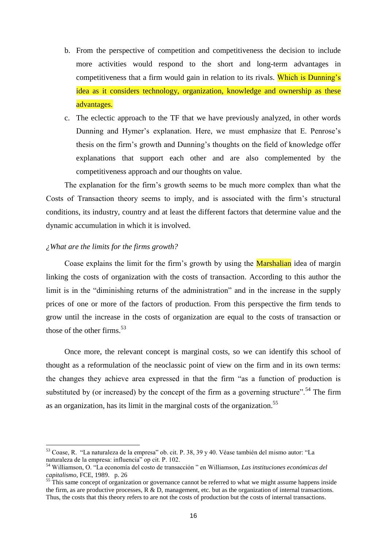- b. From the perspective of competition and competitiveness the decision to include more activities would respond to the short and long-term advantages in competitiveness that a firm would gain in relation to its rivals. Which is Dunning's idea as it considers technology, organization, knowledge and ownership as these advantages.
- c. The eclectic approach to the TF that we have previously analyzed, in other words Dunning and Hymer's explanation. Here, we must emphasize that E. Penrose's thesis on the firm"s growth and Dunning"s thoughts on the field of knowledge offer explanations that support each other and are also complemented by the competitiveness approach and our thoughts on value.

The explanation for the firm"s growth seems to be much more complex than what the Costs of Transaction theory seems to imply, and is associated with the firm"s structural conditions, its industry, country and at least the different factors that determine value and the dynamic accumulation in which it is involved.

#### *¿What are the limits for the firms growth?*

 $\overline{a}$ 

Coase explains the limit for the firm's growth by using the **Marshalian** idea of margin linking the costs of organization with the costs of transaction. According to this author the limit is in the "diminishing returns of the administration" and in the increase in the supply prices of one or more of the factors of production. From this perspective the firm tends to grow until the increase in the costs of organization are equal to the costs of transaction or those of the other firms. $53$ 

Once more, the relevant concept is marginal costs, so we can identify this school of thought as a reformulation of the neoclassic point of view on the firm and in its own terms: the changes they achieve area expressed in that the firm "as a function of production is substituted by (or increased) by the concept of the firm as a governing structure".<sup>54</sup> The firm as an organization, has its limit in the marginal costs of the organization.<sup>55</sup>

<sup>53</sup> Coase, R. "La naturaleza de la empresa" ob. cit. P. 38, 39 y 40. Véase también del mismo autor: "La naturaleza de la empresa: influencia" op cit. P. 102.

<sup>54</sup> Williamson, O. "La economía del costo de transacción " en Williamson, *Las instituciones económicas del capitalismo*, FCE, 1989. p. 26

<sup>&</sup>lt;sup>55</sup> This same concept of organization or governance cannot be referred to what we might assume happens inside the firm, as are productive processes,  $R \& D$ , management, etc. but as the organization of internal transactions. Thus, the costs that this theory refers to are not the costs of production but the costs of internal transactions.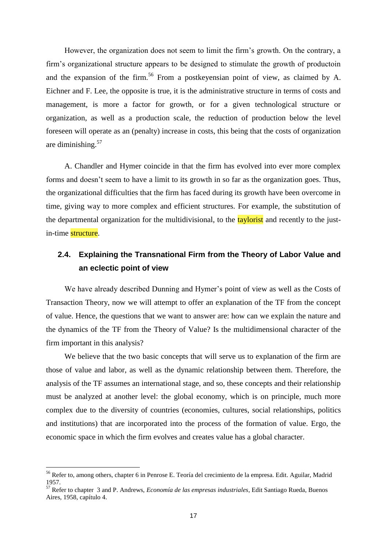However, the organization does not seem to limit the firm"s growth. On the contrary, a firm"s organizational structure appears to be designed to stimulate the growth of productoin and the expansion of the firm.<sup>56</sup> From a postkeyensian point of view, as claimed by A. Eichner and F. Lee, the opposite is true, it is the administrative structure in terms of costs and management, is more a factor for growth, or for a given technological structure or organization, as well as a production scale, the reduction of production below the level foreseen will operate as an (penalty) increase in costs, this being that the costs of organization are diminishing.<sup>57</sup>

A. Chandler and Hymer coincide in that the firm has evolved into ever more complex forms and doesn't seem to have a limit to its growth in so far as the organization goes. Thus, the organizational difficulties that the firm has faced during its growth have been overcome in time, giving way to more complex and efficient structures. For example, the substitution of the departmental organization for the multidivisional, to the taylorist and recently to the justin-time structure.

# **2.4. Explaining the Transnational Firm from the Theory of Labor Value and an eclectic point of view**

We have already described Dunning and Hymer's point of view as well as the Costs of Transaction Theory, now we will attempt to offer an explanation of the TF from the concept of value. Hence, the questions that we want to answer are: how can we explain the nature and the dynamics of the TF from the Theory of Value? Is the multidimensional character of the firm important in this analysis?

We believe that the two basic concepts that will serve us to explanation of the firm are those of value and labor, as well as the dynamic relationship between them. Therefore, the analysis of the TF assumes an international stage, and so, these concepts and their relationship must be analyzed at another level: the global economy, which is on principle, much more complex due to the diversity of countries (economies, cultures, social relationships, politics and institutions) that are incorporated into the process of the formation of value. Ergo, the economic space in which the firm evolves and creates value has a global character.

<sup>&</sup>lt;sup>56</sup> Refer to, among others, chapter 6 in Penrose E. Teoría del crecimiento de la empresa. Edit. Aguilar, Madrid 1957.

<sup>57</sup> Refer to chapter 3 and P. Andrews, *Economía de las empresas industriales*, Edit Santiago Rueda, Buenos Aires, 1958, capítulo 4.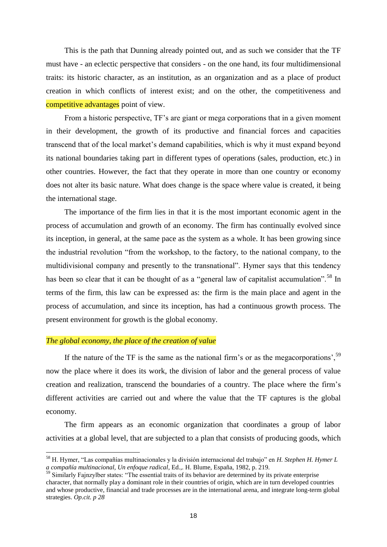This is the path that Dunning already pointed out, and as such we consider that the TF must have - an eclectic perspective that considers - on the one hand, its four multidimensional traits: its historic character, as an institution, as an organization and as a place of product creation in which conflicts of interest exist; and on the other, the competitiveness and competitive advantages point of view.

From a historic perspective, TF"s are giant or mega corporations that in a given moment in their development, the growth of its productive and financial forces and capacities transcend that of the local market"s demand capabilities, which is why it must expand beyond its national boundaries taking part in different types of operations (sales, production, etc.) in other countries. However, the fact that they operate in more than one country or economy does not alter its basic nature. What does change is the space where value is created, it being the international stage.

The importance of the firm lies in that it is the most important economic agent in the process of accumulation and growth of an economy. The firm has continually evolved since its inception, in general, at the same pace as the system as a whole. It has been growing since the industrial revolution "from the workshop, to the factory, to the national company, to the multidivisional company and presently to the transnational". Hymer says that this tendency has been so clear that it can be thought of as a "general law of capitalist accumulation".<sup>58</sup> In terms of the firm, this law can be expressed as: the firm is the main place and agent in the process of accumulation, and since its inception, has had a continuous growth process. The present environment for growth is the global economy.

#### *The global economy, the place of the creation of value*

 $\overline{a}$ 

If the nature of the TF is the same as the national firm's or as the megacorporations',  $59$ now the place where it does its work, the division of labor and the general process of value creation and realization, transcend the boundaries of a country. The place where the firm"s different activities are carried out and where the value that the TF captures is the global economy.

The firm appears as an economic organization that coordinates a group of labor activities at a global level, that are subjected to a plan that consists of producing goods, which

<sup>58</sup> H. Hymer, "Las compañías multinacionales y la división internacional del trabajo" en *H. Stephen H. Hymer L a compañía multinacional, Un enfoque radical*, Ed.,. H. Blume, España, 1982, p. 219.

<sup>&</sup>lt;sup>59</sup> Similarly Fajnzylber states: "The essential traits of its behavior are determined by its private enterprise character, that normally play a dominant role in their countries of origin, which are in turn developed countries and whose productive, financial and trade processes are in the international arena, and integrate long-term global strategies. *Op.cit. p 28*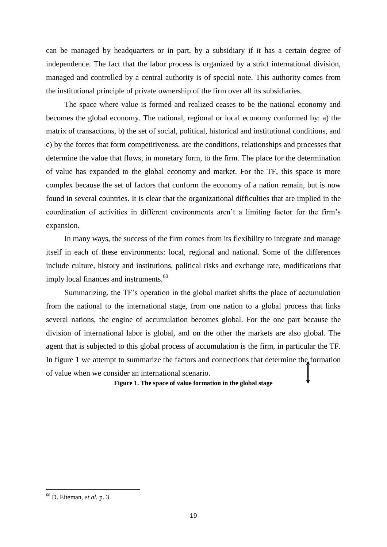can be managed by headquarters or in part, by a subsidiary if it has a certain degree of independence. The fact that the labor process is organized by a strict international division, managed and controlled by a central authority is of special note. This authority comes from the institutional principle of private ownership of the firm over all its subsidiaries.

The space where value is formed and realized ceases to be the national economy and becomes the global economy. The national, regional or local economy conformed by: a) the matrix of transactions, b) the set of social, political, historical and institutional conditions, and c) by the forces that form competitiveness, are the conditions, relationships and processes that determine the value that flows, in monetary form, to the firm. The place for the determination of value has expanded to the global economy and market. For the TF, this space is more complex because the set of factors that conform the economy of a nation remain, but is now found in several countries. It is clear that the organizational difficulties that are implied in the coordination of activities in different environments aren"t a limiting factor for the firm"s expansion.

In many ways, the success of the firm comes from its flexibility to integrate and manage itself in each of these environments: local, regional and national. Some of the differences include culture, history and institutions, political risks and exchange rate, modifications that imply local finances and instruments.<sup>60</sup>

Summarizing, the TF"s operation in the global market shifts the place of accumulation from the national to the international stage, from one nation to a global process that links several nations, the engine of accumulation becomes global. For the one part because the division of international labor is global, and on the other the markets are also global. The agent that is subjected to this global process of accumulation is the firm, in particular the TF. In figure 1 we attempt to summarize the factors and connections that determine the formation of value when we consider an international scenario.

**Figure 1. The space of value formation in the global stage**

<sup>60</sup> D. Eiteman, *et al.* p. 3.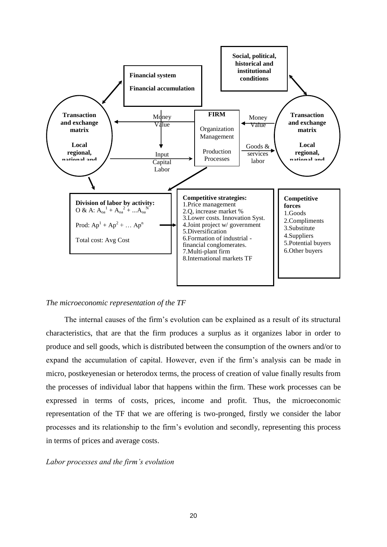

#### *The microeconomic representation of the TF*

The internal causes of the firm"s evolution can be explained as a result of its structural characteristics, that are that the firm produces a surplus as it organizes labor in order to produce and sell goods, which is distributed between the consumption of the owners and/or to expand the accumulation of capital. However, even if the firm"s analysis can be made in micro, postkeyenesian or heterodox terms, the process of creation of value finally results from the processes of individual labor that happens within the firm. These work processes can be expressed in terms of costs, prices, income and profit. Thus, the microeconomic representation of the TF that we are offering is two-pronged, firstly we consider the labor processes and its relationship to the firm"s evolution and secondly, representing this process in terms of prices and average costs.

#### *Labor processes and the firm's evolution*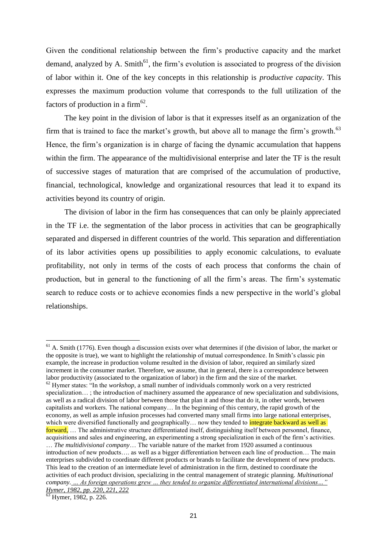Given the conditional relationship between the firm"s productive capacity and the market demand, analyzed by A. Smith<sup>61</sup>, the firm's evolution is associated to progress of the division of labor within it. One of the key concepts in this relationship is *productive capacity*. This expresses the maximum production volume that corresponds to the full utilization of the factors of production in a firm<sup>62</sup>.

The key point in the division of labor is that it expresses itself as an organization of the firm that is trained to face the market's growth, but above all to manage the firm's growth.<sup>63</sup> Hence, the firm's organization is in charge of facing the dynamic accumulation that happens within the firm. The appearance of the multidivisional enterprise and later the TF is the result of successive stages of maturation that are comprised of the accumulation of productive, financial, technological, knowledge and organizational resources that lead it to expand its activities beyond its country of origin.

The division of labor in the firm has consequences that can only be plainly appreciated in the TF i.e. the segmentation of the labor process in activities that can be geographically separated and dispersed in different countries of the world. This separation and differentiation of its labor activities opens up possibilities to apply economic calculations, to evaluate profitability, not only in terms of the costs of each process that conforms the chain of production, but in general to the functioning of all the firm"s areas. The firm"s systematic search to reduce costs or to achieve economies finds a new perspective in the world"s global relationships.

 $61$  A. Smith (1776). Even though a discussion exists over what determines if (the division of labor, the market or the opposite is true), we want to highlight the relationship of mutual correspondence. In Smith"s classic pin example, the increase in production volume resulted in the division of labor, required an similarly sized increment in the consumer market. Therefore, we assume, that in general, there is a correspondence between labor productivity (associated to the organization of labor) in the firm and the size of the market.  $62$  Hymer states: "In the *workshop*, a small number of individuals commonly work on a very restricted specialization…; the introduction of machinery assumed the appearance of new specialization and subdivisions, as well as a radical division of labor between those that plan it and those that do it, in other words, between capitalists and workers. The national company… In the beginning of this century, the rapid growth of the economy, as well as ample infusion processes had converted many small firms into large national enterprises, which were diversified functionally and geographically... now they tended to integrate backward as well as forward, … The administrative structure differentiated itself, distinguishing itself between personnel, finance, acquisitions and sales and engineering, an experimenting a strong specialization in each of the firm"s activities. … *The multidivisional company*… The variable nature of the market from 1920 assumed a continuous introduction of new products…. as well as a bigger differentiation between each line of production… The main enterprises subdivided to coordinate different products or brands to facilitate the development of new products. This lead to the creation of an intermediate level of administration in the firm, destined to coordinate the activities of each product division, specializing in the central management of strategic planning. *Multinational company. … As foreign operations grew … they tended to organize differentiated international divisions…" Hymer, 1982, pp. 220, 221, 222*

 $^{3}$  Hymer, 1982, p. 226.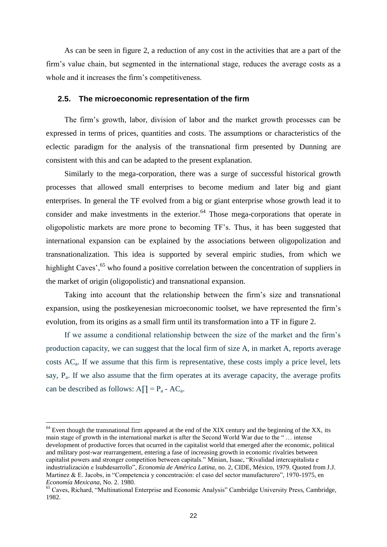As can be seen in figure 2, a reduction of any cost in the activities that are a part of the firm"s value chain, but segmented in the international stage, reduces the average costs as a whole and it increases the firm's competitiveness.

#### **2.5. The microeconomic representation of the firm**

The firm"s growth, labor, division of labor and the market growth processes can be expressed in terms of prices, quantities and costs. The assumptions or characteristics of the eclectic paradigm for the analysis of the transnational firm presented by Dunning are consistent with this and can be adapted to the present explanation.

Similarly to the mega-corporation, there was a surge of successful historical growth processes that allowed small enterprises to become medium and later big and giant enterprises. In general the TF evolved from a big or giant enterprise whose growth lead it to consider and make investments in the exterior. $64$  Those mega-corporations that operate in oligopolistic markets are more prone to becoming TF"s. Thus, it has been suggested that international expansion can be explained by the associations between oligopolization and transnationalization. This idea is supported by several empiric studies, from which we highlight Caves',  $65$  who found a positive correlation between the concentration of suppliers in the market of origin (oligopolistic) and transnational expansion.

Taking into account that the relationship between the firm"s size and transnational expansion, using the postkeyenesian microeconomic toolset, we have represented the firm"s evolution, from its origins as a small firm until its transformation into a TF in figure 2.

If we assume a conditional relationship between the size of the market and the firm"s production capacity, we can suggest that the local firm of size A, in market A, reports average costs  $AC<sub>a</sub>$ . If we assume that this firm is representative, these costs imply a price level, lets say,  $P_a$ . If we also assume that the firm operates at its average capacity, the average profits can be described as follows:  $A\prod = P_a - AC_a$ .

 $64$  Even though the transnational firm appeared at the end of the XIX century and the beginning of the XX, its main stage of growth in the international market is after the Second World War due to the " … intense development of productive forces that ocurred in the capitalist world that emerged after the economic, political and military post-war rearrangement, entering a fase of increasing growth in economic rivalries between capitalist powers and stronger competition between capitals." Minian, Isaac, "Rivalidad intercapitalista e industrialización e lsubdesarrollo", *Economía de América Latina*, no. 2, CIDE, México, 1979. Quoted from J.J. Martinez & E. Jacobs, in "Competencia y concentración: el caso del sector manufacturero", 1970-1975, en *Economía Mexicana*, No. 2. 1980.

<sup>&</sup>lt;sup>65</sup> Caves, Richard, "Multinational Enterprise and Economic Analysis" Cambridge University Press, Cambridge, 1982.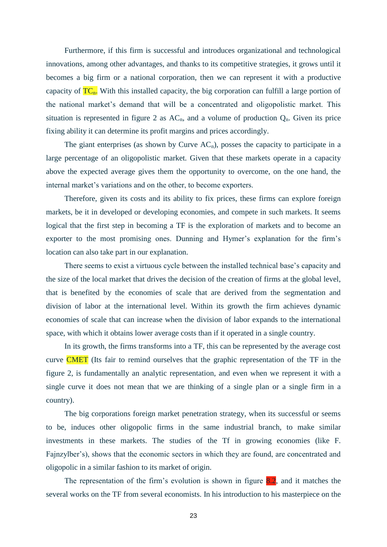Furthermore, if this firm is successful and introduces organizational and technological innovations, among other advantages, and thanks to its competitive strategies, it grows until it becomes a big firm or a national corporation, then we can represent it with a productive capacity of  $TC_n$ . With this installed capacity, the big corporation can fulfill a large portion of the national market"s demand that will be a concentrated and oligopolistic market. This situation is represented in figure 2 as  $AC_n$ , and a volume of production  $Q_n$ . Given its price fixing ability it can determine its profit margins and prices accordingly.

The giant enterprises (as shown by Curve  $AC<sub>n</sub>$ ), posses the capacity to participate in a large percentage of an oligopolistic market. Given that these markets operate in a capacity above the expected average gives them the opportunity to overcome, on the one hand, the internal market's variations and on the other, to become exporters.

Therefore, given its costs and its ability to fix prices, these firms can explore foreign markets, be it in developed or developing economies, and compete in such markets. It seems logical that the first step in becoming a TF is the exploration of markets and to become an exporter to the most promising ones. Dunning and Hymer's explanation for the firm's location can also take part in our explanation.

There seems to exist a virtuous cycle between the installed technical base"s capacity and the size of the local market that drives the decision of the creation of firms at the global level, that is benefited by the economies of scale that are derived from the segmentation and division of labor at the international level. Within its growth the firm achieves dynamic economies of scale that can increase when the division of labor expands to the international space, with which it obtains lower average costs than if it operated in a single country.

In its growth, the firms transforms into a TF, this can be represented by the average cost curve CMET (Its fair to remind ourselves that the graphic representation of the TF in the figure 2, is fundamentally an analytic representation, and even when we represent it with a single curve it does not mean that we are thinking of a single plan or a single firm in a country).

The big corporations foreign market penetration strategy, when its successful or seems to be, induces other oligopolic firms in the same industrial branch, to make similar investments in these markets. The studies of the Tf in growing economies (like F. Fajnzylber's), shows that the economic sectors in which they are found, are concentrated and oligopolic in a similar fashion to its market of origin.

The representation of the firm's evolution is shown in figure  $\frac{8.2}{1}$ , and it matches the several works on the TF from several economists. In his introduction to his masterpiece on the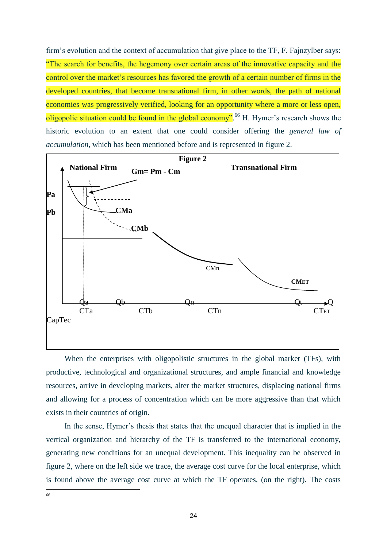firm's evolution and the context of accumulation that give place to the TF, F. Fajnzylber says: "The search for benefits, the hegemony over certain areas of the innovative capacity and the control over the market's resources has favored the growth of a certain number of firms in the developed countries, that become transnational firm, in other words, the path of national economies was progressively verified, looking for an opportunity where a more or less open, oligopolic situation could be found in the global economy".<sup>66</sup> H. Hymer's research shows the historic evolution to an extent that one could consider offering the *general law of accumulation*, which has been mentioned before and is represented in figure 2.



When the enterprises with oligopolistic structures in the global market (TFs), with productive, technological and organizational structures, and ample financial and knowledge resources, arrive in developing markets, alter the market structures, displacing national firms and allowing for a process of concentration which can be more aggressive than that which exists in their countries of origin.

In the sense, Hymer's thesis that states that the unequal character that is implied in the vertical organization and hierarchy of the TF is transferred to the international economy, generating new conditions for an unequal development. This inequality can be observed in figure 2, where on the left side we trace, the average cost curve for the local enterprise, which is found above the average cost curve at which the TF operates, (on the right). The costs